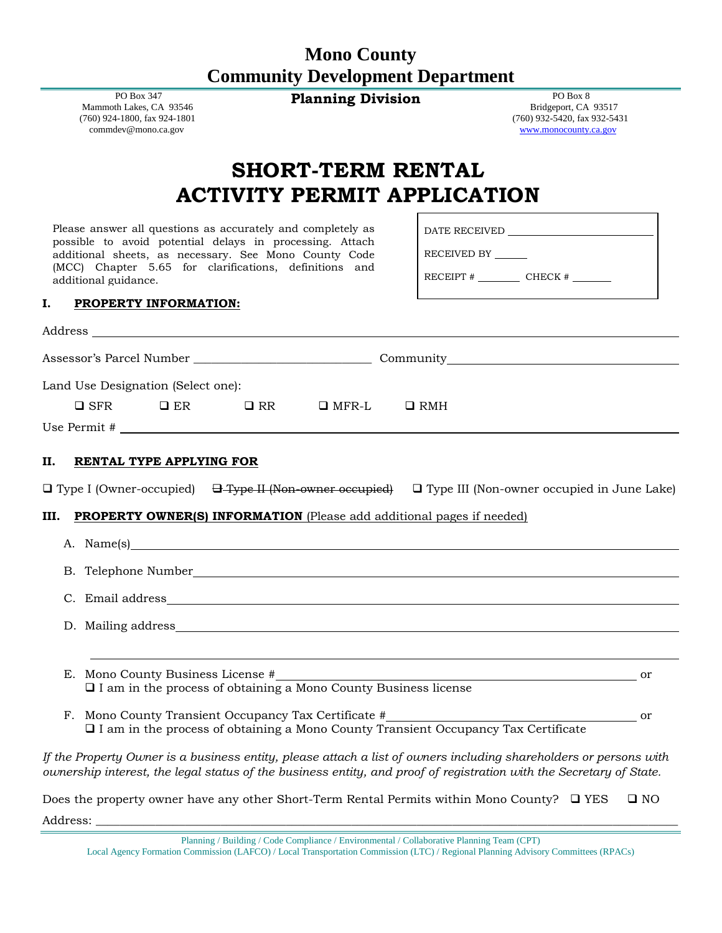## **Mono County Community Development Department**

**Planning Division** PO Box 8

 PO Box 347 Mammoth Lakes, CA 93546 (760) 924-1800, fax 924-1801 commdev@mono.ca.gov

 Bridgeport, CA 93517 (760) 932-5420, fax 932-5431 [www.monocounty.ca.gov](http://www.monocounty.ca.gov/)

# **SHORT-TERM RENTAL ACTIVITY PERMIT APPLICATION**

Please answer all questions as accurately and completely as possible to avoid potential delays in processing. Attach additional sheets, as necessary. See Mono County Code (MCC) Chapter 5.65 for clarifications, definitions and additional guidance.

DATE RECEIVED

RECEIVED BY

 $RECEIPT # \n  
\nCHECK # \n  
\n $\sqrt{}$$ 

#### **I. PROPERTY INFORMATION:**

|    | Land Use Designation (Select one): |  |  |                                                        |                                                                                                                                                                                                                                          |  |  |
|----|------------------------------------|--|--|--------------------------------------------------------|------------------------------------------------------------------------------------------------------------------------------------------------------------------------------------------------------------------------------------------|--|--|
|    |                                    |  |  | $\Box$ SFR $\Box$ ER $\Box$ RR $\Box$ MFR-L $\Box$ RMH |                                                                                                                                                                                                                                          |  |  |
|    |                                    |  |  |                                                        |                                                                                                                                                                                                                                          |  |  |
| П. | RENTAL TYPE APPLYING FOR           |  |  |                                                        |                                                                                                                                                                                                                                          |  |  |
| Ш. |                                    |  |  |                                                        | □ Type I (Owner-occupied) <del>□ Type II (Non-owner occupied)</del> □ Type III (Non-owner occupied in June Lake)<br><b>PROPERTY OWNER(S) INFORMATION</b> (Please add additional pages if needed)                                         |  |  |
|    |                                    |  |  |                                                        | A. Name(s)                                                                                                                                                                                                                               |  |  |
|    |                                    |  |  |                                                        |                                                                                                                                                                                                                                          |  |  |
|    |                                    |  |  |                                                        |                                                                                                                                                                                                                                          |  |  |
|    |                                    |  |  |                                                        |                                                                                                                                                                                                                                          |  |  |
|    |                                    |  |  |                                                        | E. Mono County Business License $\#$ or $\Box$ I am in the process of obtaining a Mono County Business license                                                                                                                           |  |  |
|    |                                    |  |  |                                                        | $\Box$ I am in the process of obtaining a Mono County Transient Occupancy Tax Certificate                                                                                                                                                |  |  |
|    |                                    |  |  |                                                        | If the Property Owner is a business entity, please attach a list of owners including shareholders or persons with<br>ownership interest, the legal status of the business entity, and proof of registration with the Secretary of State. |  |  |

Does the property owner have any other Short-Term Rental Permits within Mono County?  $\Box$  YES  $\Box$  NO Address: \_\_\_\_\_\_\_\_\_\_\_\_\_\_\_\_\_\_\_\_\_\_\_\_\_\_\_\_\_\_\_\_\_\_\_\_\_\_\_\_\_\_\_\_\_\_\_\_\_\_\_\_\_\_\_\_\_\_\_\_\_\_\_\_\_\_\_\_\_\_\_\_\_\_\_\_\_\_\_\_\_\_\_\_\_\_\_\_\_\_\_\_\_\_\_\_\_\_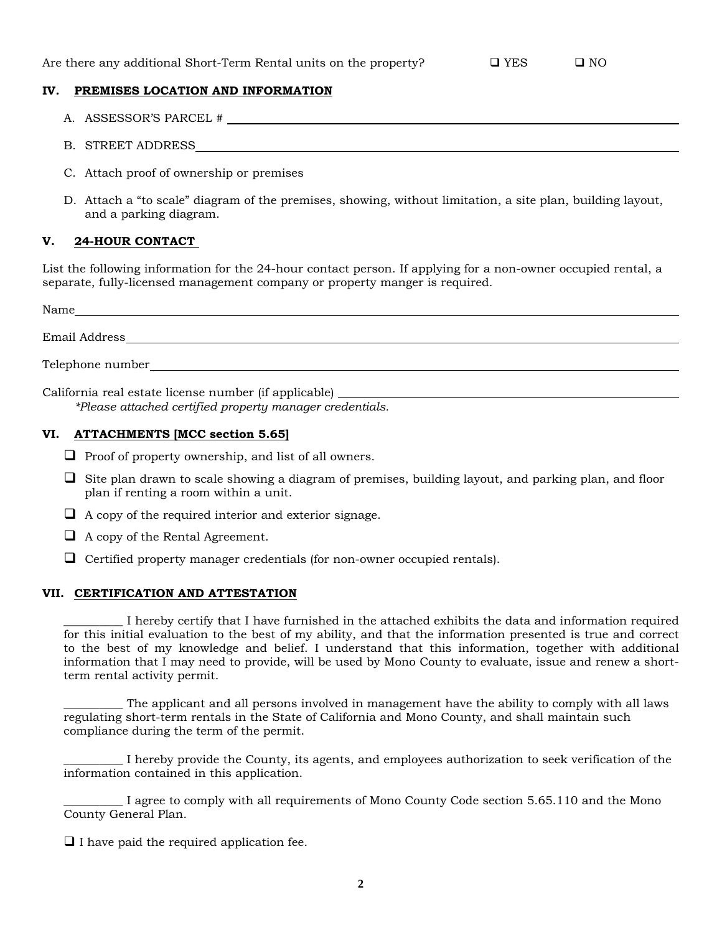#### **IV. PREMISES LOCATION AND INFORMATION**

- A. ASSESSOR'S PARCEL #
- B. STREET ADDRESS
- C. Attach proof of ownership or premises
- D. Attach a "to scale" diagram of the premises, showing, without limitation, a site plan, building layout, and a parking diagram.

#### **V. 24-HOUR CONTACT**

List the following information for the 24-hour contact person. If applying for a non-owner occupied rental, a separate, fully-licensed management company or property manger is required.

| Name              |  |
|-------------------|--|
| Email Address     |  |
| Telephone number_ |  |

California real estate license number (if applicable) *\*Please attached certified property manager credentials.* 

### **VI. ATTACHMENTS [MCC section 5.65]**

- $\Box$  Proof of property ownership, and list of all owners.
- $\Box$  Site plan drawn to scale showing a diagram of premises, building layout, and parking plan, and floor plan if renting a room within a unit.
- $\Box$  A copy of the required interior and exterior signage.
- $\Box$  A copy of the Rental Agreement.
- $\Box$  Certified property manager credentials (for non-owner occupied rentals).

#### **VII. CERTIFICATION AND ATTESTATION**

\_\_\_\_\_\_\_\_\_\_ I hereby certify that I have furnished in the attached exhibits the data and information required for this initial evaluation to the best of my ability, and that the information presented is true and correct to the best of my knowledge and belief. I understand that this information, together with additional information that I may need to provide, will be used by Mono County to evaluate, issue and renew a shortterm rental activity permit.

The applicant and all persons involved in management have the ability to comply with all laws regulating short-term rentals in the State of California and Mono County, and shall maintain such compliance during the term of the permit.

\_\_\_\_\_\_\_\_\_\_ I hereby provide the County, its agents, and employees authorization to seek verification of the information contained in this application.

\_\_\_\_\_\_\_\_\_\_ I agree to comply with all requirements of Mono County Code section 5.65.110 and the Mono County General Plan.

 $\Box$  I have paid the required application fee.